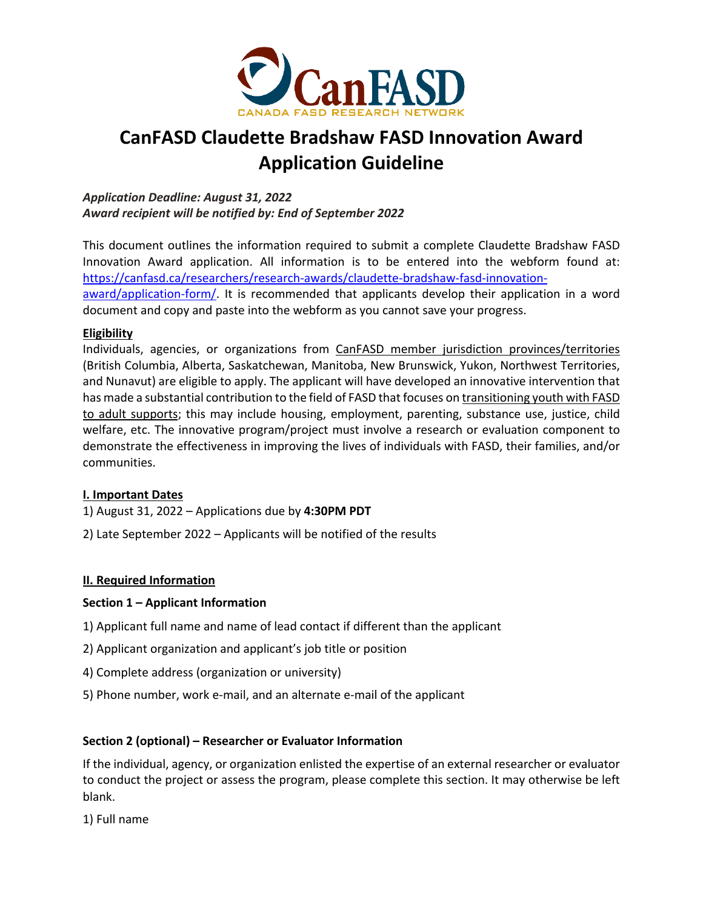

# **CanFASD Claudette Bradshaw FASD Innovation Award Application Guideline**

*Application Deadline: August 31, 2022 Award recipient will be notified by: End of September 2022*

This document outlines the information required to submit a complete Claudette Bradshaw FASD Innovation Award application. All information is to be entered into the webform found at: https://canfasd.ca/researchers/research-awards/claudette-bradshaw-fasd-innovation-

award/application-form/. It is recommended that applicants develop their application in a word document and copy and paste into the webform as you cannot save your progress.

## **Eligibility**

Individuals, agencies, or organizations from CanFASD member jurisdiction provinces/territories (British Columbia, Alberta, Saskatchewan, Manitoba, New Brunswick, Yukon, Northwest Territories, and Nunavut) are eligible to apply. The applicant will have developed an innovative intervention that has made a substantial contribution to the field of FASD that focuses on transitioning youth with FASD to adult supports; this may include housing, employment, parenting, substance use, justice, child welfare, etc. The innovative program/project must involve a research or evaluation component to demonstrate the effectiveness in improving the lives of individuals with FASD, their families, and/or communities.

## **I. Important Dates**

- 1) August 31, 2022 Applications due by **4:30PM PDT**
- 2) Late September 2022 Applicants will be notified of the results

## **II. Required Information**

## **Section 1 – Applicant Information**

- 1) Applicant full name and name of lead contact if different than the applicant
- 2) Applicant organization and applicant's job title or position
- 4) Complete address (organization or university)
- 5) Phone number, work e-mail, and an alternate e-mail of the applicant

## **Section 2 (optional) – Researcher or Evaluator Information**

If the individual, agency, or organization enlisted the expertise of an external researcher or evaluator to conduct the project or assess the program, please complete this section. It may otherwise be left blank.

1) Full name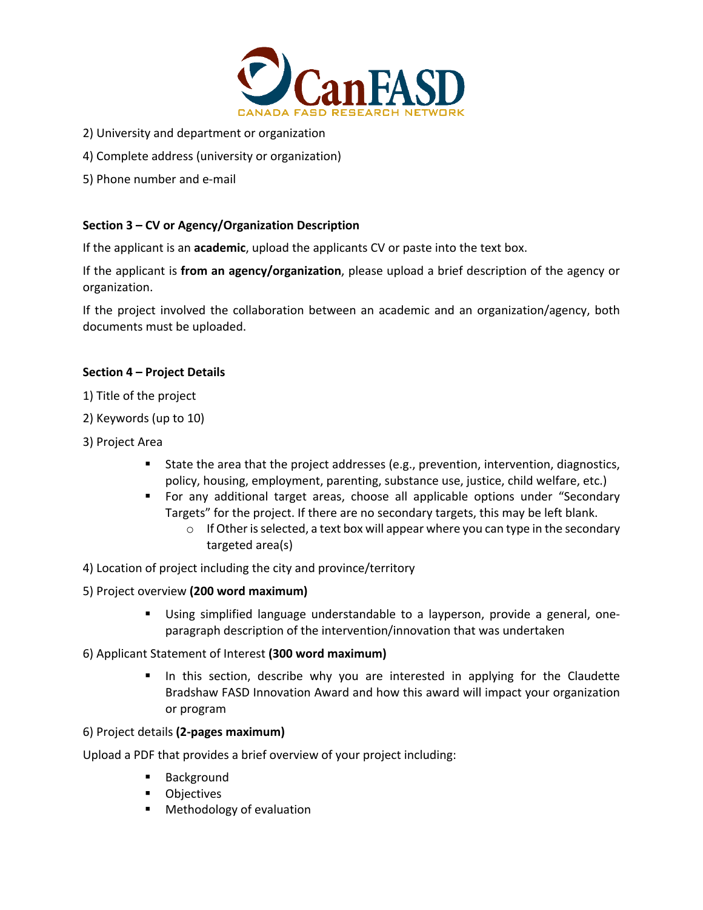

- 2) University and department or organization
- 4) Complete address (university or organization)
- 5) Phone number and e-mail

## **Section 3 – CV or Agency/Organization Description**

If the applicant is an **academic**, upload the applicants CV or paste into the text box.

If the applicant is **from an agency/organization**, please upload a brief description of the agency or organization.

If the project involved the collaboration between an academic and an organization/agency, both documents must be uploaded.

## **Section 4 – Project Details**

- 1) Title of the project
- 2) Keywords (up to 10)
- 3) Project Area
	- State the area that the project addresses (e.g., prevention, intervention, diagnostics, policy, housing, employment, parenting, substance use, justice, child welfare, etc.)
	- § For any additional target areas, choose all applicable options under "Secondary Targets" for the project. If there are no secondary targets, this may be left blank.
		- $\circ$  If Other is selected, a text box will appear where you can type in the secondary targeted area(s)
- 4) Location of project including the city and province/territory
- 5) Project overview **(200 word maximum)** 
	- § Using simplified language understandable to a layperson, provide a general, oneparagraph description of the intervention/innovation that was undertaken
- 6) Applicant Statement of Interest **(300 word maximum)**
	- In this section, describe why you are interested in applying for the Claudette Bradshaw FASD Innovation Award and how this award will impact your organization or program

#### 6) Project details **(2-pages maximum)**

Upload a PDF that provides a brief overview of your project including:

- **Background**
- Objectives
- Methodology of evaluation